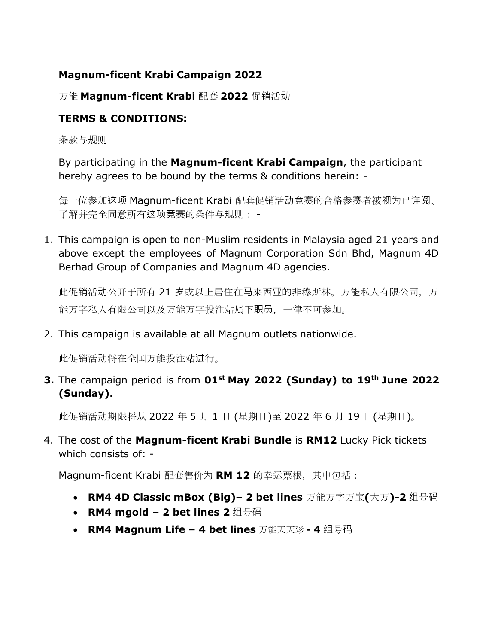## **Magnum-ficent Krabi Campaign 2022**

## 万能 **Magnum-ficent Krabi** 配套 **2022** 促销活动

# **TERMS & CONDITIONS:**

条款与规则

By participating in the **Magnum-ficent Krabi Campaign**, the participant hereby agrees to be bound by the terms & conditions herein: -

每一位参加这项 Magnum-ficent Krabi 配套促销活动竞赛的合格参赛者被视为已详阅、 了解并完全同意所有这项竞赛的条件与规则: -

1. This campaign is open to non-Muslim residents in Malaysia aged 21 years and above except the employees of Magnum Corporation Sdn Bhd, Magnum 4D Berhad Group of Companies and Magnum 4D agencies.

此促销活动公开于所有 21 岁或以上居住在马来西亚的非穆斯林。万能私人有限公司, 万 能万字私人有限公司以及万能万字投注站属下职员,一律不可参加。

2. This campaign is available at all Magnum outlets nationwide.

此促销活动将在全国万能投注站进行。

**3.** The campaign period is from **01st May 2022 (Sunday) to 19th June 2022 (Sunday).**

此促销活动期限将从 2022 年 5 月 1 日 (星期日)至 2022 年 6 月 19 日(星期日)。

4. The cost of the **Magnum-ficent Krabi Bundle** is **RM12** Lucky Pick tickets which consists of: -

Magnum-ficent Krabi 配套售价为 **RM 12** 的幸运票根,其中包括:

- **RM4 4D Classic mBox (Big)– 2 bet lines** 万能万字万宝**(**大万**)-2** 组号码
- **RM4 mgold – 2 bet lines 2** 组号码
- **RM4 Magnum Life – 4 bet lines** 万能天天彩 **- 4** 组号码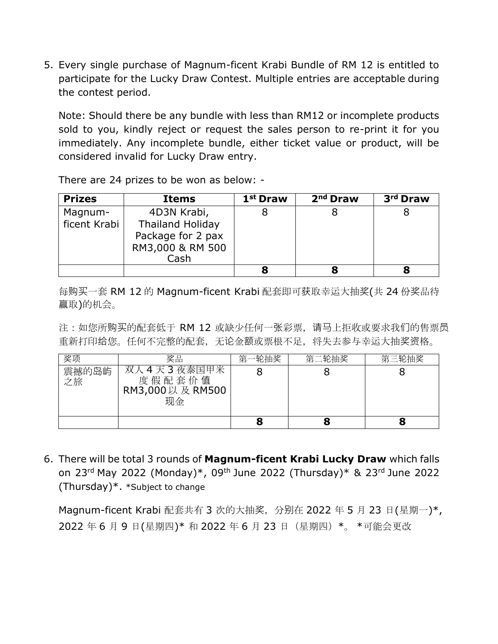5. Every single purchase of Magnum-ficent Krabi Bundle of RM 12 is entitled to participate for the Lucky Draw Contest. Multiple entries are acceptable during the contest period.

Note: Should there be any bundle with less than RM12 or incomplete products sold to you, kindly reject or request the sales person to re-print it for you immediately. Any incomplete bundle, either ticket value or product, will be considered invalid for Lucky Draw entry.

**Prizes Items 1st Draw 2nd Draw 3rd Draw** Magnumficent Krabi 4D3N Krabi, Thailand Holiday Package for 2 pax RM3,000 & RM 500 Cash 8 8 8 **8 8 8**

There are 24 prizes to be won as below: -

每购买一套 RM 12 的 Magnum-ficent Krabi 配套即可获取幸运大抽奖(共 24 份奖品待 赢取)的机会。

注: 如您所购买的配套低于 RM 12 或缺少任何一张彩票, 请马上拒收或要求我们的售票员 重新打印给您。任何不完整的配套,无论金额或票根不足,将失去参与幸运大抽奖资格。

| 奖项          | 奖品                                                 | 第<br>轮抽奖 | 第二轮抽奖 | 第三轮抽奖 |
|-------------|----------------------------------------------------|----------|-------|-------|
| 震撼的岛屿<br>之旅 | '人4天3夜泰国甲来<br>双<br>度假配套价值<br>RM3,000以及 RM500<br>现金 |          |       |       |
|             |                                                    |          |       |       |

6. There will be total 3 rounds of **Magnum-ficent Krabi Lucky Draw** which falls on 23rd May 2022 (Monday)\*, 09th June 2022 (Thursday)\* & 23rd June 2022 (Thursday)\*. \*Subject to change

Magnum-ficent Krabi 配套共有 3 次的大抽奖,分别在 2022 年 5 月 23 日(星期一)\*, 2022 年 6 月 9 日(星期四)\* 和 2022 年 6 月 23 日(星期四)\*。 \*可能会更改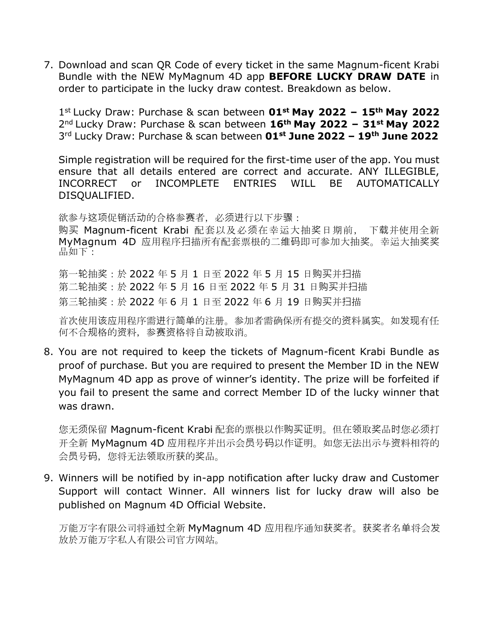7. Download and scan QR Code of every ticket in the same Magnum-ficent Krabi Bundle with the NEW MyMagnum 4D app **BEFORE LUCKY DRAW DATE** in order to participate in the lucky draw contest. Breakdown as below.

1 st Lucky Draw: Purchase & scan between **01st May 2022 – 15th May 2022**  2 nd Lucky Draw: Purchase & scan between **16th May 2022 – 31st May 2022**  3 rd Lucky Draw: Purchase & scan between **01st June 2022 – 19th June 2022**

Simple registration will be required for the first-time user of the app. You must ensure that all details entered are correct and accurate. ANY ILLEGIBLE, INCORRECT or INCOMPLETE ENTRIES WILL BE AUTOMATICALLY DISQUALIFIED.

欲参与这项促销活动的合格参赛者, 必须进行以下步骤: 购买 Magnum-ficent Krabi 配套以及必须在幸运大抽奖日期前, 下载并使用全新 MyMagnum 4D 应用程序扫描所有配套票根的二维码即可参加大抽奖。幸运大抽奖奖 品如下:

第一轮抽奖:於 2022 年 5 月 1 日至 2022 年 5 月 15 日购买并扫描 第二轮抽奖:於 2022 年 5 月 16 日至 2022 年 5 月 31 日购买并扫描 第三轮抽奖:於 2022 年 6 月 1 日至 2022 年 6 月 19 日购买并扫描

首次使用该应用程序需进行简单的注册。参加者需确保所有提交的资料属实。如发现有任 何不合规格的资料,参赛资格将自动被取消。

8. You are not required to keep the tickets of Magnum-ficent Krabi Bundle as proof of purchase. But you are required to present the Member ID in the NEW MyMagnum 4D app as prove of winner's identity. The prize will be forfeited if you fail to present the same and correct Member ID of the lucky winner that was drawn.

您无须保留 Magnum-ficent Krabi 配套的票根以作购买证明。但在领取奖品时您必须打 开全新 MyMagnum 4D 应用程序并出示会员号码以作证明。如您无法出示与资料相符的 会员号码,您将无法领取所获的奖品。

9. Winners will be notified by in-app notification after lucky draw and Customer Support will contact Winner. All winners list for lucky draw will also be published on Magnum 4D Official Website.

万能万字有限公司将通过全新 MyMagnum 4D 应用程序通知获奖者。获奖者名单将会发 放於万能万字私人有限公司官方网站。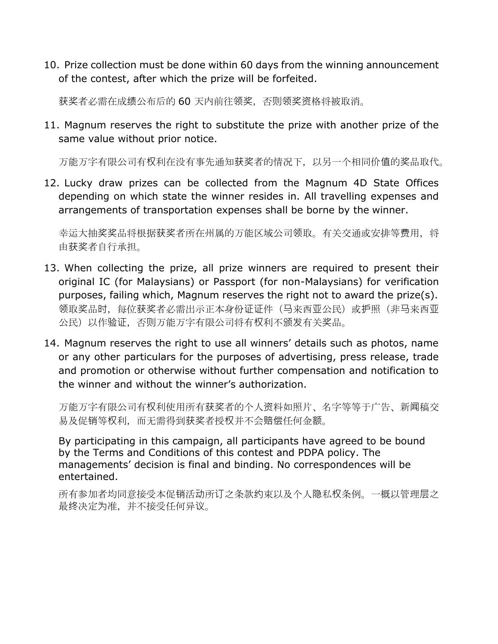10. Prize collection must be done within 60 days from the winning announcement of the contest, after which the prize will be forfeited.

获奖者必需在成绩公布后的 60 天内前往领奖,否则领奖资格将被取消。

11. Magnum reserves the right to substitute the prize with another prize of the same value without prior notice.

万能万字有限公司有权利在没有事先通知获奖者的情况下,以另一个相同价值的奖品取代。

12. Lucky draw prizes can be collected from the Magnum 4D State Offices depending on which state the winner resides in. All travelling expenses and arrangements of transportation expenses shall be borne by the winner.

幸运大抽奖奖品将根据获奖者所在州属的万能区域公司领取。有关交通或安排等费用,将 由获奖者自行承担。

- 13. When collecting the prize, all prize winners are required to present their original IC (for Malaysians) or Passport (for non-Malaysians) for verification purposes, failing which, Magnum reserves the right not to award the prize(s). 领取奖品时,每位获奖者必需出示正本身份证证件(马来西亚公民)或护照(非马来西亚 公民)以作验证,否则万能万字有限公司将有权利不颁发有关奖品。
- 14. Magnum reserves the right to use all winners' details such as photos, name or any other particulars for the purposes of advertising, press release, trade and promotion or otherwise without further compensation and notification to the winner and without the winner's authorization.

万能万字有限公司有权利使用所有获奖者的个人资料如照片、名字等等于广告、新闻稿交 易及促销等权利,而无需得到获奖者授权并不会赔偿任何金额。

By participating in this campaign, all participants have agreed to be bound by the Terms and Conditions of this contest and PDPA policy. The managements' decision is final and binding. No correspondences will be entertained.

所有参加者均同意接受本促销活动所订之条款约束以及个人隐私权条例。一概以管理层之 最终决定为准,并不接受任何异议。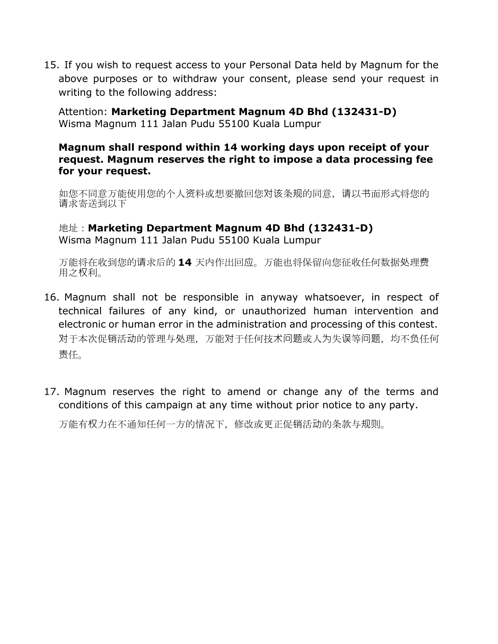15. If you wish to request access to your Personal Data held by Magnum for the above purposes or to withdraw your consent, please send your request in writing to the following address:

Attention: **Marketing Department Magnum 4D Bhd (132431-D)** Wisma Magnum 111 Jalan Pudu 55100 Kuala Lumpur

#### **Magnum shall respond within 14 working days upon receipt of your request. Magnum reserves the right to impose a data processing fee for your request.**

如您不同意万能使用您的个人资料或想要撤回您对该条规的同意,请以书面形式将您的 请求寄送到以下

地址:**Marketing Department Magnum 4D Bhd (132431-D)** Wisma Magnum 111 Jalan Pudu 55100 Kuala Lumpur

万能将在收到您的请求后的 **14** 天内作出回应。万能也将保留向您征收任何数据处理费 用之权利。

- 16. Magnum shall not be responsible in anyway whatsoever, in respect of technical failures of any kind, or unauthorized human intervention and electronic or human error in the administration and processing of this contest. 对于本次促销活动的管理与处理,万能对于任何技术问题或人为失误等问题,均不负任何 责任。
- 17. Magnum reserves the right to amend or change any of the terms and conditions of this campaign at any time without prior notice to any party.

万能有权力在不通知任何一方的情况下,修改或更正促销活动的条款与规则。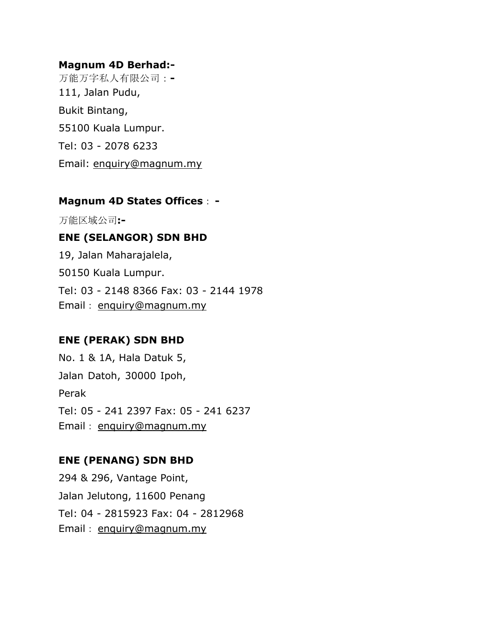#### **Magnum 4D Berhad:-**

万能万字私人有限公司:**-** 111, Jalan Pudu, Bukit Bintang, 55100 Kuala Lumpur. Tel: 03 - 2078 6233 Email: [enquiry@magnum.my](mailto:enquiry@magnum.my)

#### **Magnum 4D States Offices**: **-**

万能区域公司**:-**

## **ENE (SELANGOR) SDN BHD**

19, Jalan Maharajalela, 50150 Kuala Lumpur. Tel: 03 - 2148 8366 Fax: 03 - 2144 1978 Email: [enquiry@magnum.my](mailto:enquiry@magnum.my)

## **ENE (PERAK) SDN BHD**

No. 1 & 1A, Hala Datuk 5, Jalan Datoh, 30000 Ipoh, Perak Tel: 05 - 241 2397 Fax: 05 - 241 6237 Email: [enquiry@magnum.my](mailto:enquiry@magnum.my)

## **ENE (PENANG) SDN BHD**

294 & 296, Vantage Point, Jalan Jelutong, 11600 Penang Tel: 04 - 2815923 Fax: 04 - 2812968 Email: [enquiry@magnum.my](mailto:enquiry@magnum.my)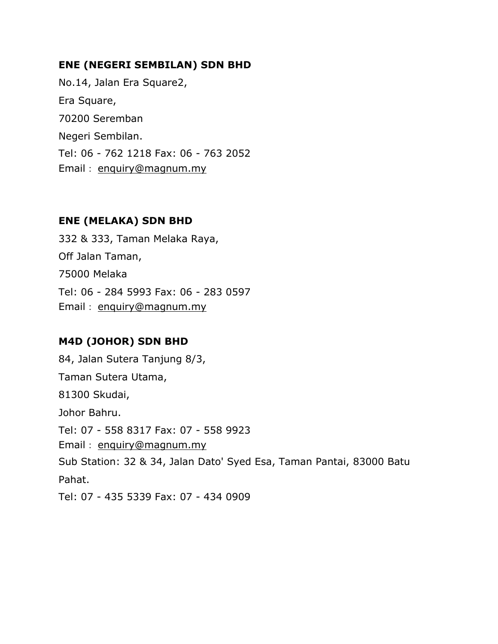#### **ENE (NEGERI SEMBILAN) SDN BHD**

No.14, Jalan Era Square2, Era Square, 70200 Seremban Negeri Sembilan. Tel: 06 - 762 1218 Fax: 06 - 763 2052 Email: [enquiry@magnum.my](mailto:enquiry@magnum.my)

## **ENE (MELAKA) SDN BHD**

332 & 333, Taman Melaka Raya, Off Jalan Taman, 75000 Melaka Tel: 06 - 284 5993 Fax: 06 - 283 0597 Email: [enquiry@magnum.my](mailto:enquiry@magnum.my)

# **M4D (JOHOR) SDN BHD**

84, Jalan Sutera Tanjung 8/3, Taman Sutera Utama, 81300 Skudai, Johor Bahru. Tel: 07 - 558 8317 Fax: 07 - 558 9923 Email: [enquiry@magnum.my](mailto:enquiry@magnum.my) Sub Station: 32 & 34, Jalan Dato' Syed Esa, Taman Pantai, 83000 Batu Pahat. Tel: 07 - 435 5339 Fax: 07 - 434 0909